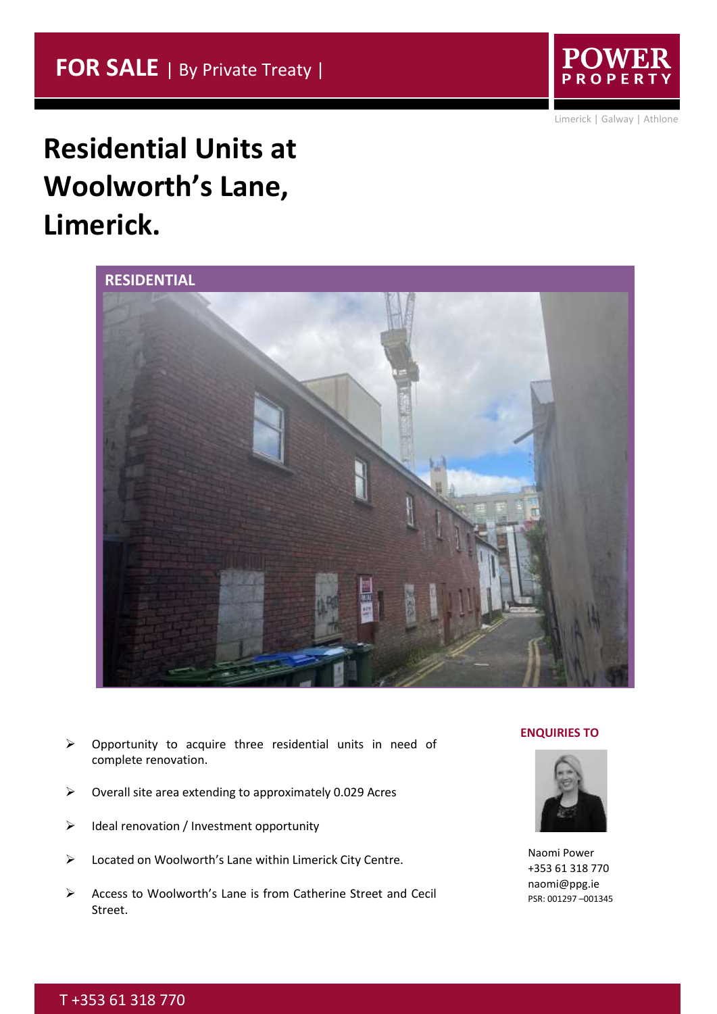

Limerick | Galway | Athlone

## **Residential Units at Woolworth's Lane, Limerick.**



- ➢ Opportunity to acquire three residential units in need of complete renovation.
- ➢ Overall site area extending to approximately 0.029 Acres
- ➢ Ideal renovation / Investment opportunity
- ➢ Located on Woolworth's Lane within Limerick City Centre.
- ➢ Access to Woolworth's Lane is from Catherine Street and Cecil Street.

#### **ENQUIRIES TO**



Naomi Power +353 61 318 770 naomi@ppg.ie PSR: 001297 –001345